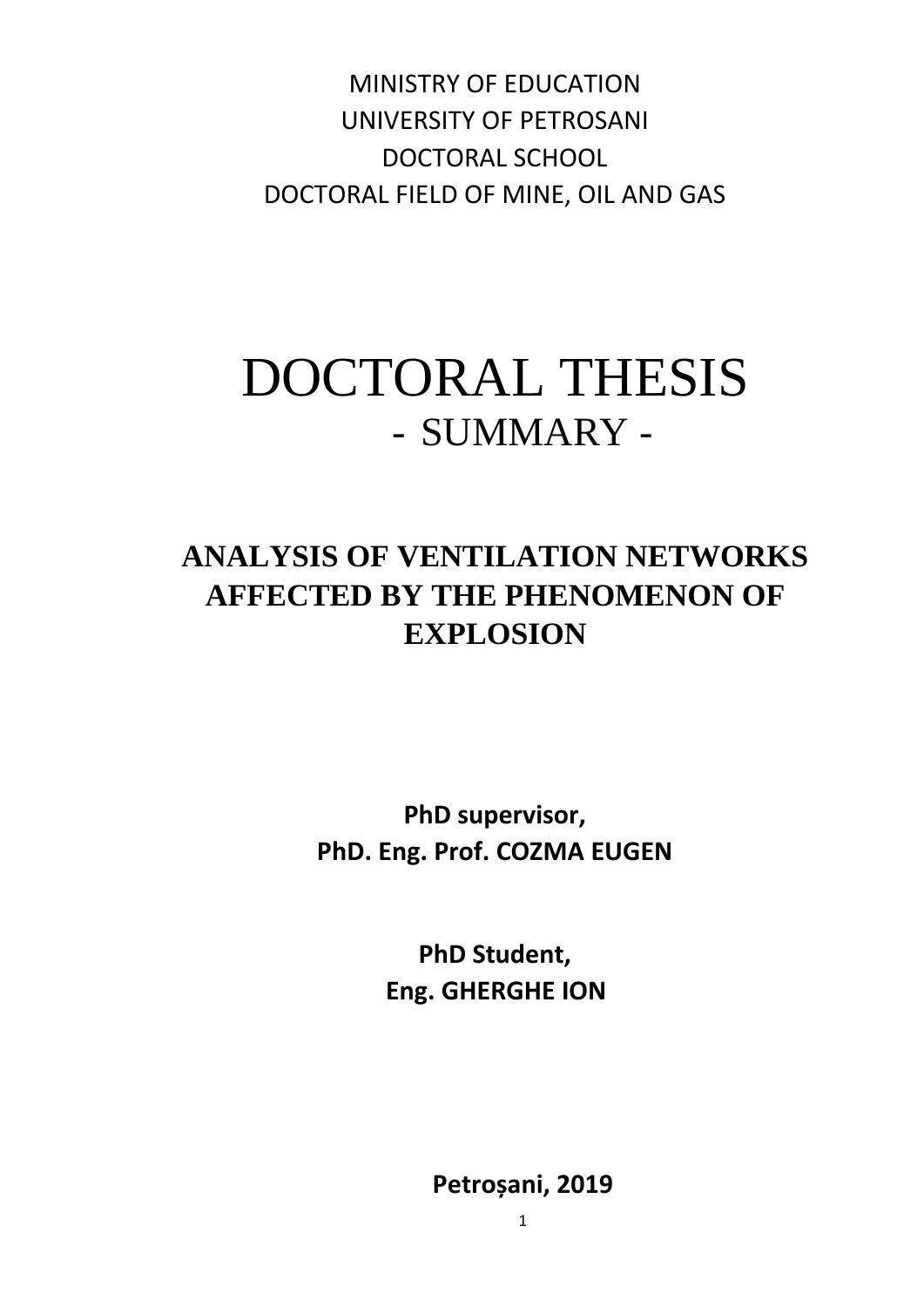MINISTRY OF EDUCATION UNIVERSITY OF PETROSANI DOCTORAL SCHOOL DOCTORAL FIELD OF MINE, OIL AND GAS

## DOCTORAL THESIS - SUMMARY -

## **ANALYSIS OF VENTILATION NETWORKS AFFECTED BY THE PHENOMENON OF EXPLOSION**

**PhD supervisor, PhD. Eng. Prof. COZMA EUGEN**

> **PhD Student, Eng. GHERGHE ION**

> > **Petroșani, 2019**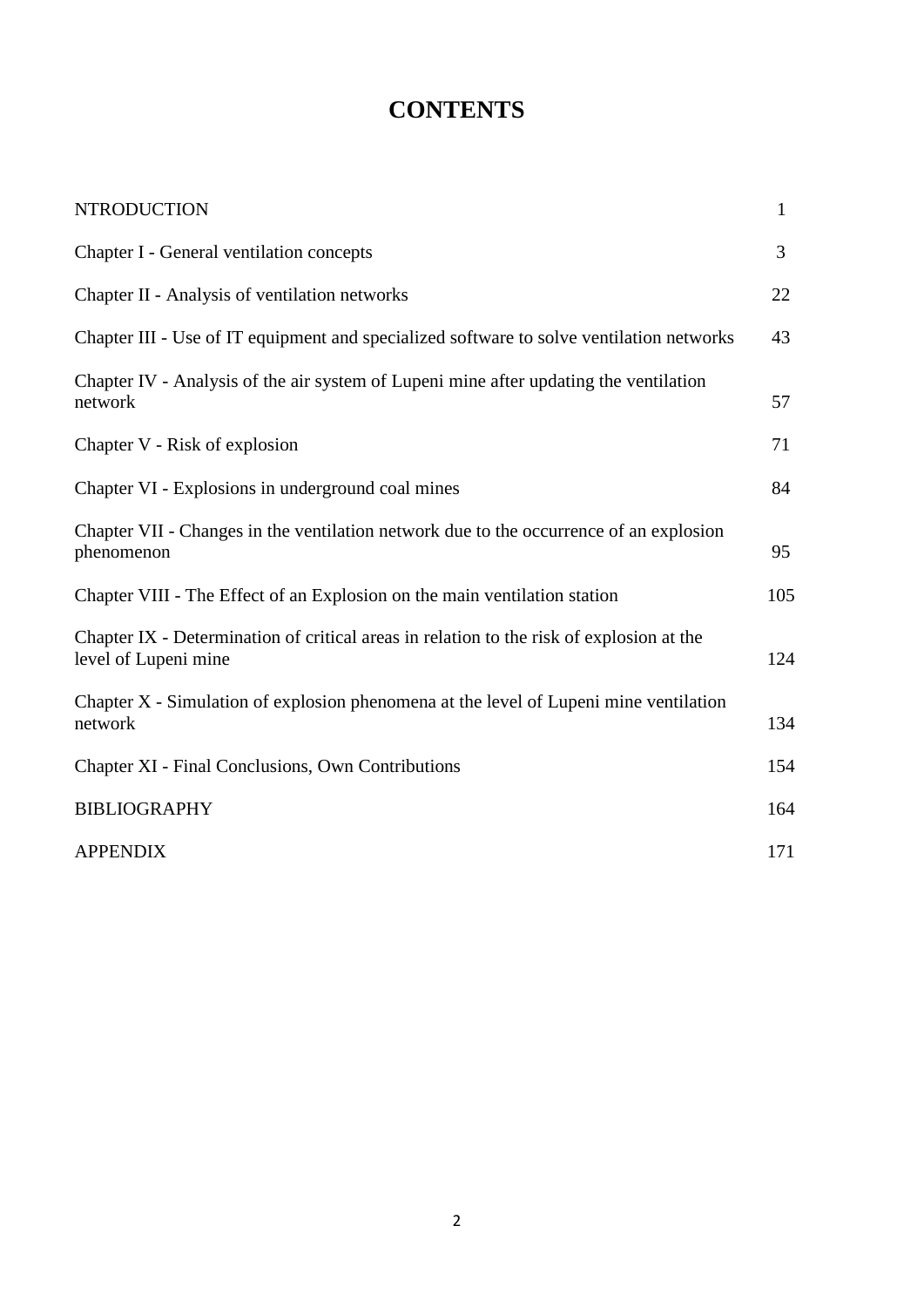## **CONTENTS**

| <b>NTRODUCTION</b>                                                                                               | $\mathbf{1}$ |
|------------------------------------------------------------------------------------------------------------------|--------------|
| Chapter I - General ventilation concepts                                                                         | 3            |
| Chapter II - Analysis of ventilation networks                                                                    | 22           |
| Chapter III - Use of IT equipment and specialized software to solve ventilation networks                         | 43           |
| Chapter IV - Analysis of the air system of Lupeni mine after updating the ventilation<br>network                 | 57           |
| Chapter V - Risk of explosion                                                                                    | 71           |
| Chapter VI - Explosions in underground coal mines                                                                | 84           |
| Chapter VII - Changes in the ventilation network due to the occurrence of an explosion<br>phenomenon             | 95           |
| Chapter VIII - The Effect of an Explosion on the main ventilation station                                        | 105          |
| Chapter IX - Determination of critical areas in relation to the risk of explosion at the<br>level of Lupeni mine | 124          |
| Chapter X - Simulation of explosion phenomena at the level of Lupeni mine ventilation<br>network                 | 134          |
| Chapter XI - Final Conclusions, Own Contributions                                                                | 154          |
| <b>BIBLIOGRAPHY</b>                                                                                              | 164          |
| <b>APPENDIX</b>                                                                                                  | 171          |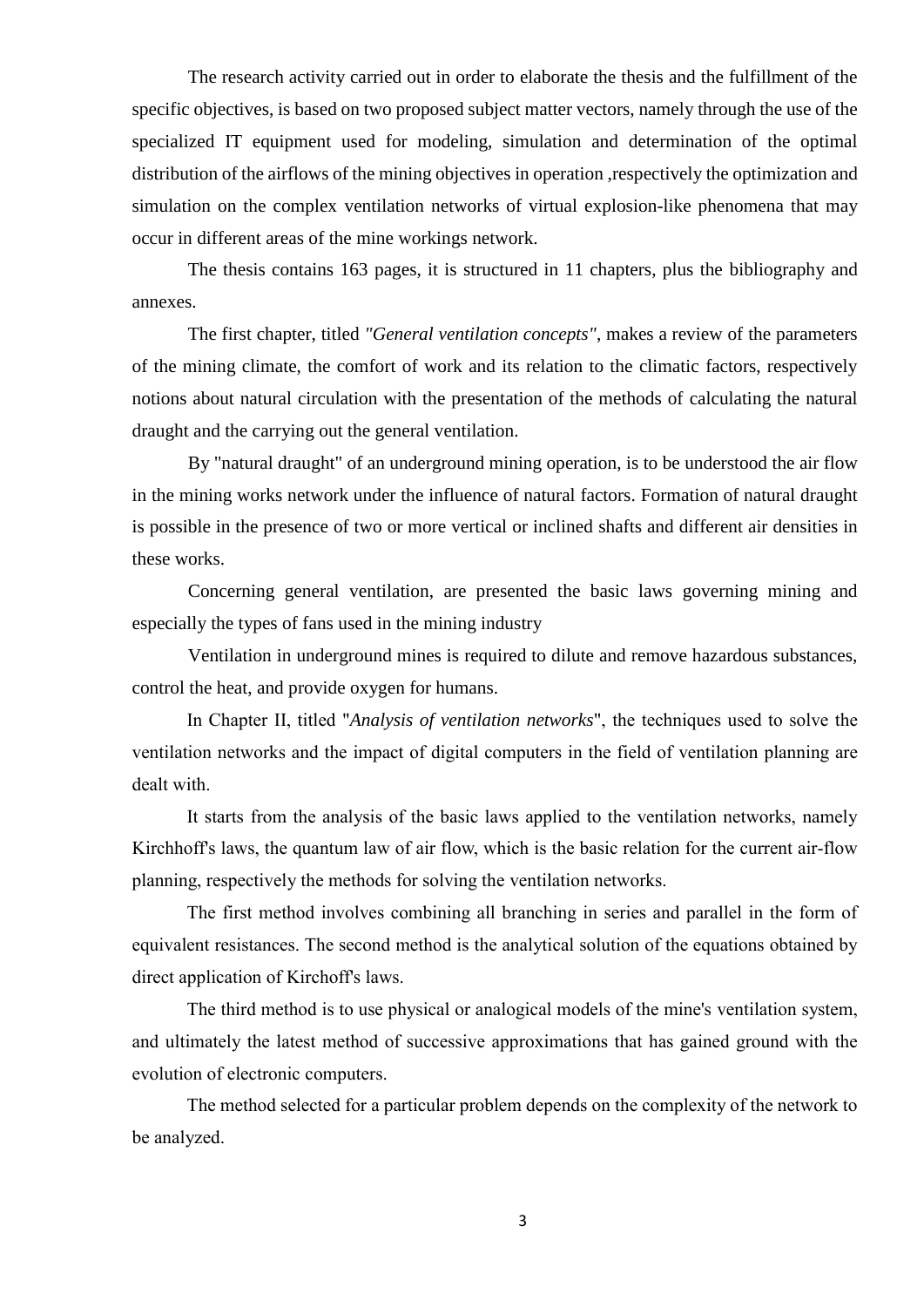The research activity carried out in order to elaborate the thesis and the fulfillment of the specific objectives, is based on two proposed subject matter vectors, namely through the use of the specialized IT equipment used for modeling, simulation and determination of the optimal distribution of the airflows of the mining objectives in operation ,respectively the optimization and simulation on the complex ventilation networks of virtual explosion-like phenomena that may occur in different areas of the mine workings network.

The thesis contains 163 pages, it is structured in 11 chapters, plus the bibliography and annexes.

The first chapter, titled *"General ventilation concepts"*, makes a review of the parameters of the mining climate, the comfort of work and its relation to the climatic factors, respectively notions about natural circulation with the presentation of the methods of calculating the natural draught and the carrying out the general ventilation.

By "natural draught" of an underground mining operation, is to be understood the air flow in the mining works network under the influence of natural factors. Formation of natural draught is possible in the presence of two or more vertical or inclined shafts and different air densities in these works.

Concerning general ventilation, are presented the basic laws governing mining and especially the types of fans used in the mining industry

Ventilation in underground mines is required to dilute and remove hazardous substances, control the heat, and provide oxygen for humans.

In Chapter II, titled "*Analysis of ventilation networks*", the techniques used to solve the ventilation networks and the impact of digital computers in the field of ventilation planning are dealt with.

It starts from the analysis of the basic laws applied to the ventilation networks, namely Kirchhoff's laws, the quantum law of air flow, which is the basic relation for the current air-flow planning, respectively the methods for solving the ventilation networks.

The first method involves combining all branching in series and parallel in the form of equivalent resistances. The second method is the analytical solution of the equations obtained by direct application of Kirchoff's laws.

The third method is to use physical or analogical models of the mine's ventilation system, and ultimately the latest method of successive approximations that has gained ground with the evolution of electronic computers.

The method selected for a particular problem depends on the complexity of the network to be analyzed.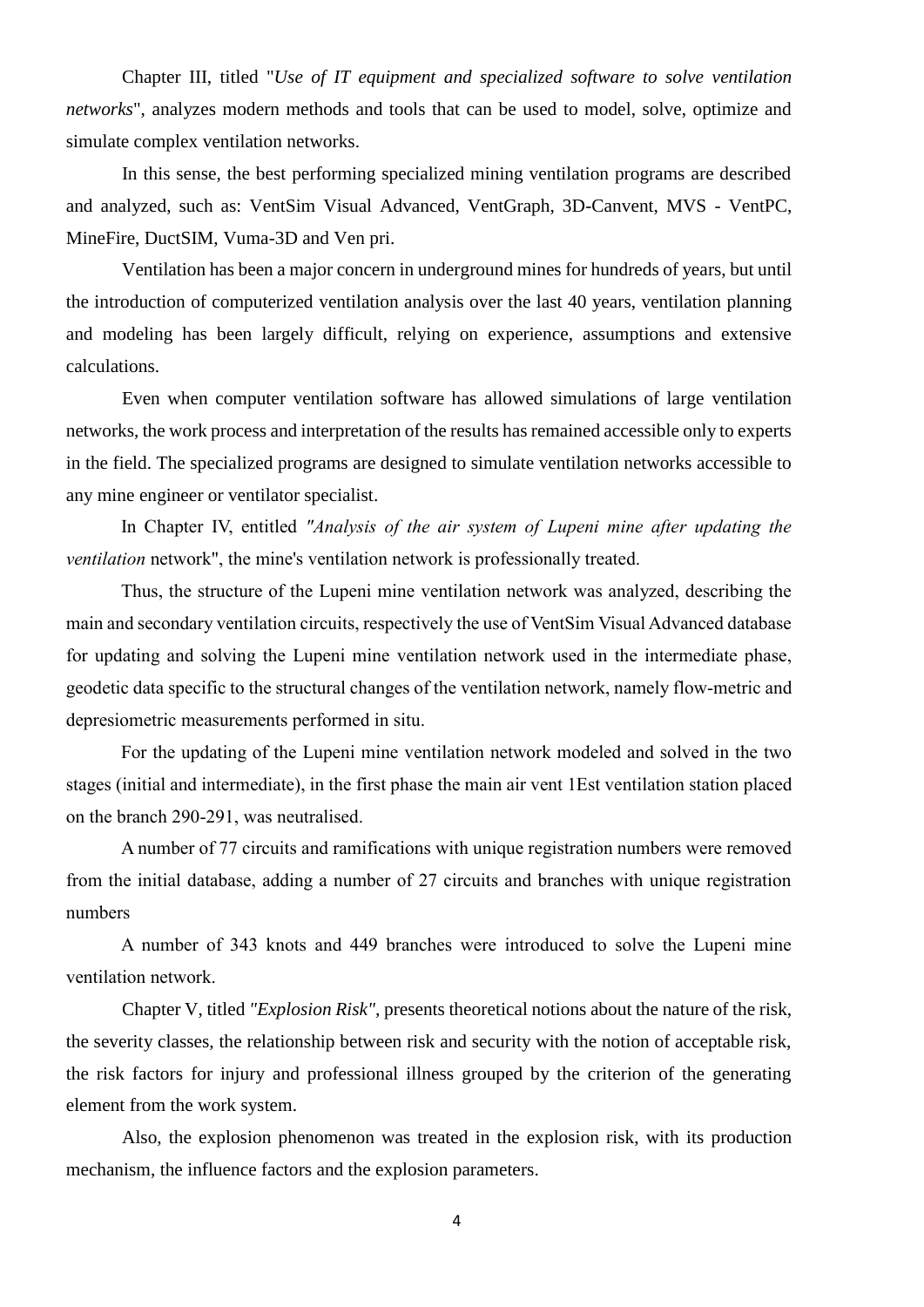Chapter III, titled "*Use of IT equipment and specialized software to solve ventilation networks*", analyzes modern methods and tools that can be used to model, solve, optimize and simulate complex ventilation networks.

In this sense, the best performing specialized mining ventilation programs are described and analyzed, such as: VentSim Visual Advanced, VentGraph, 3D-Canvent, MVS - VentPC, MineFire, DuctSIM, Vuma-3D and Ven pri.

Ventilation has been a major concern in underground mines for hundreds of years, but until the introduction of computerized ventilation analysis over the last 40 years, ventilation planning and modeling has been largely difficult, relying on experience, assumptions and extensive calculations.

Even when computer ventilation software has allowed simulations of large ventilation networks, the work process and interpretation of the results has remained accessible only to experts in the field. The specialized programs are designed to simulate ventilation networks accessible to any mine engineer or ventilator specialist.

In Chapter IV, entitled *"Analysis of the air system of Lupeni mine after updating the ventilation* network", the mine's ventilation network is professionally treated.

Thus, the structure of the Lupeni mine ventilation network was analyzed, describing the main and secondary ventilation circuits, respectively the use of VentSim Visual Advanced database for updating and solving the Lupeni mine ventilation network used in the intermediate phase, geodetic data specific to the structural changes of the ventilation network, namely flow-metric and depresiometric measurements performed in situ.

For the updating of the Lupeni mine ventilation network modeled and solved in the two stages (initial and intermediate), in the first phase the main air vent 1Est ventilation station placed on the branch 290-291, was neutralised.

A number of 77 circuits and ramifications with unique registration numbers were removed from the initial database, adding a number of 27 circuits and branches with unique registration numbers

A number of 343 knots and 449 branches were introduced to solve the Lupeni mine ventilation network.

Chapter V, titled *"Explosion Risk",* presents theoretical notions about the nature of the risk, the severity classes, the relationship between risk and security with the notion of acceptable risk, the risk factors for injury and professional illness grouped by the criterion of the generating element from the work system.

Also, the explosion phenomenon was treated in the explosion risk, with its production mechanism, the influence factors and the explosion parameters.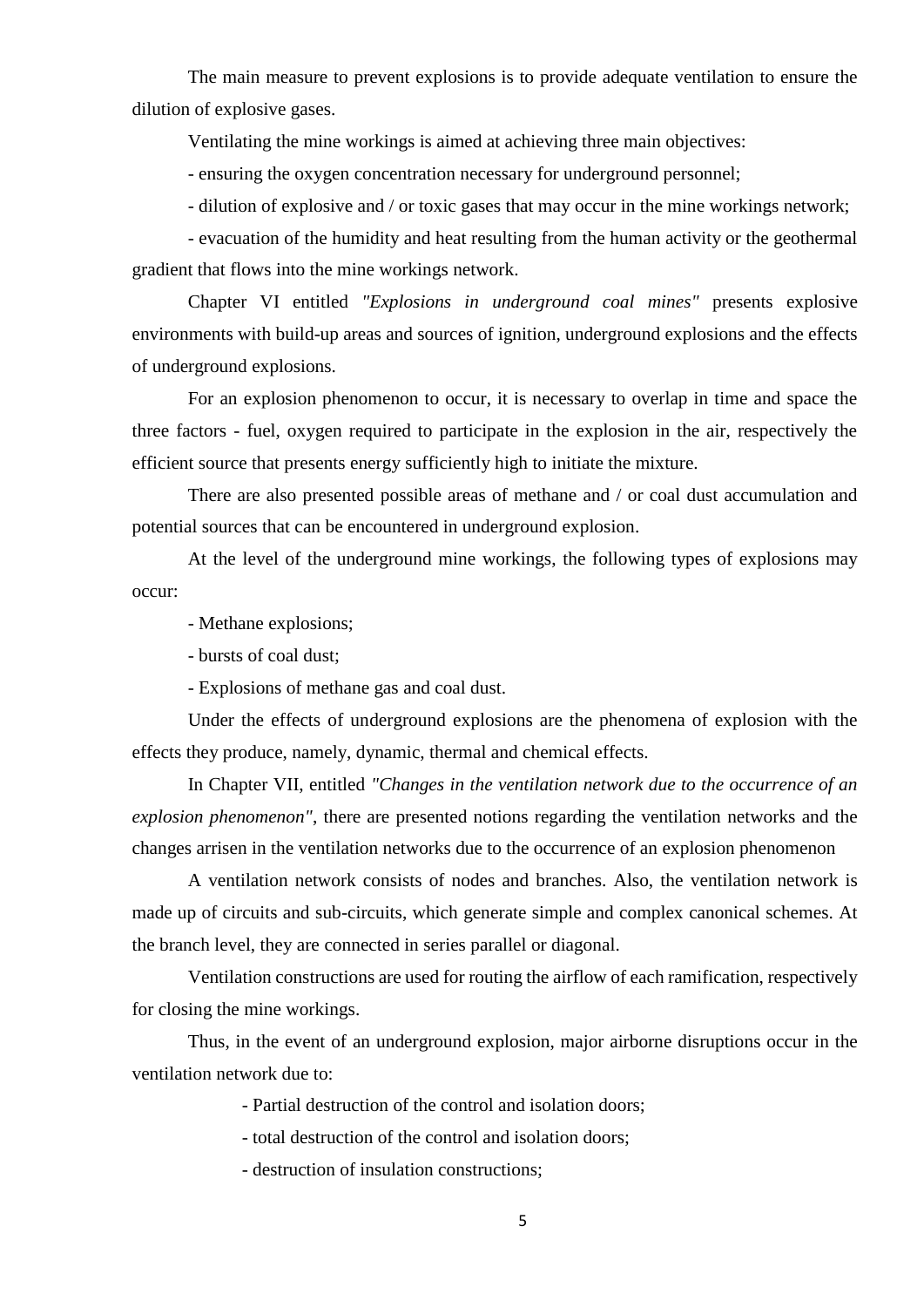The main measure to prevent explosions is to provide adequate ventilation to ensure the dilution of explosive gases.

Ventilating the mine workings is aimed at achieving three main objectives:

- ensuring the oxygen concentration necessary for underground personnel;

- dilution of explosive and / or toxic gases that may occur in the mine workings network;

- evacuation of the humidity and heat resulting from the human activity or the geothermal gradient that flows into the mine workings network.

Chapter VI entitled *"Explosions in underground coal mines"* presents explosive environments with build-up areas and sources of ignition, underground explosions and the effects of underground explosions.

For an explosion phenomenon to occur, it is necessary to overlap in time and space the three factors - fuel, oxygen required to participate in the explosion in the air, respectively the efficient source that presents energy sufficiently high to initiate the mixture.

There are also presented possible areas of methane and / or coal dust accumulation and potential sources that can be encountered in underground explosion.

At the level of the underground mine workings, the following types of explosions may occur:

- Methane explosions;

- bursts of coal dust;

- Explosions of methane gas and coal dust.

Under the effects of underground explosions are the phenomena of explosion with the effects they produce, namely, dynamic, thermal and chemical effects.

In Chapter VII, entitled *"Changes in the ventilation network due to the occurrence of an explosion phenomenon"*, there are presented notions regarding the ventilation networks and the changes arrisen in the ventilation networks due to the occurrence of an explosion phenomenon

A ventilation network consists of nodes and branches. Also, the ventilation network is made up of circuits and sub-circuits, which generate simple and complex canonical schemes. At the branch level, they are connected in series parallel or diagonal.

Ventilation constructions are used for routing the airflow of each ramification, respectively for closing the mine workings.

Thus, in the event of an underground explosion, major airborne disruptions occur in the ventilation network due to:

- Partial destruction of the control and isolation doors;

- total destruction of the control and isolation doors;

- destruction of insulation constructions;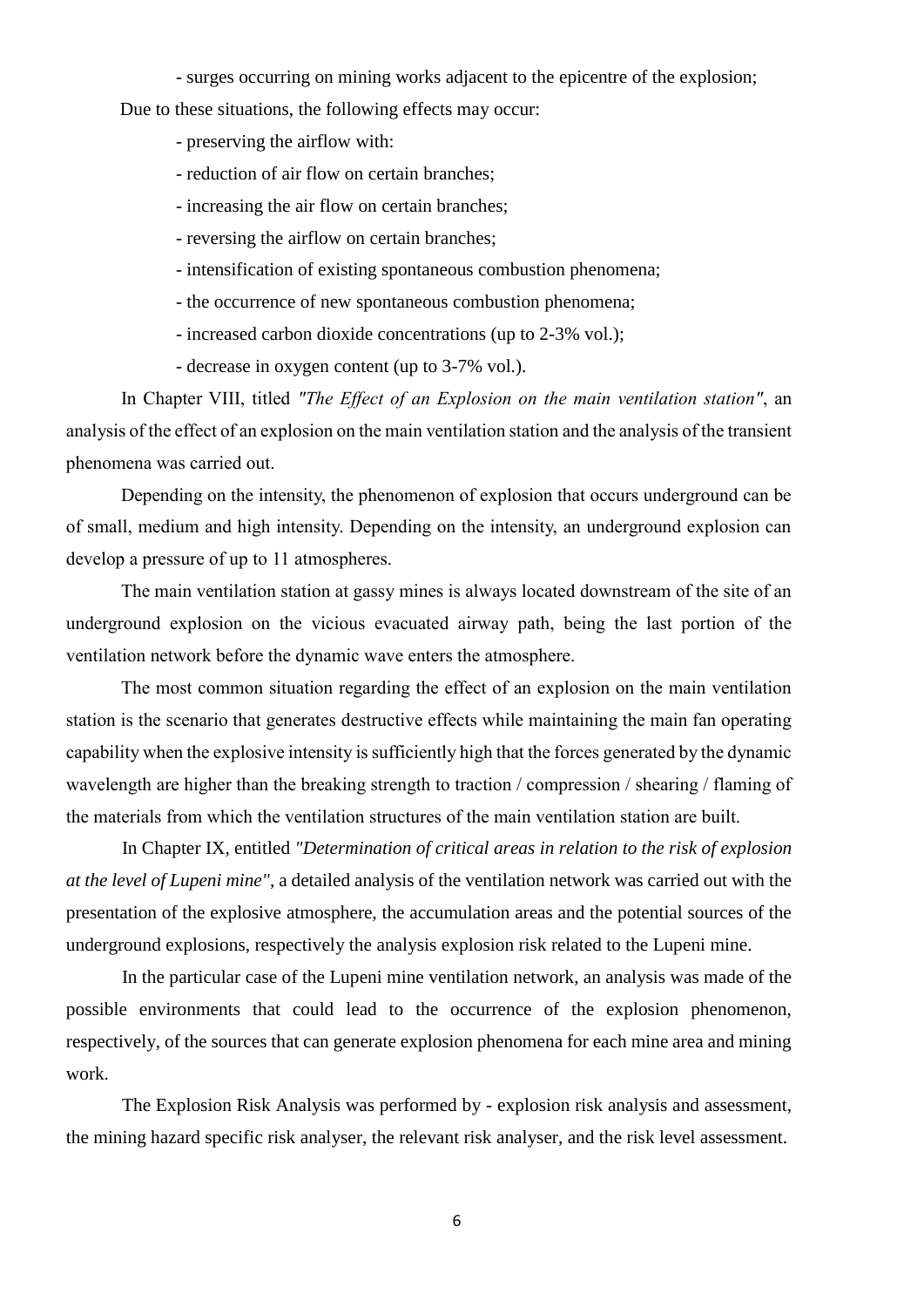- surges occurring on mining works adjacent to the epicentre of the explosion;

Due to these situations, the following effects may occur:

- preserving the airflow with:
- reduction of air flow on certain branches;
- increasing the air flow on certain branches;
- reversing the airflow on certain branches;
- intensification of existing spontaneous combustion phenomena;
- the occurrence of new spontaneous combustion phenomena;
- increased carbon dioxide concentrations (up to 2-3% vol.);
- decrease in oxygen content (up to 3-7% vol.).

In Chapter VIII, titled *"The Effect of an Explosion on the main ventilation station"*, an analysis of the effect of an explosion on the main ventilation station and the analysis of the transient phenomena was carried out.

Depending on the intensity, the phenomenon of explosion that occurs underground can be of small, medium and high intensity. Depending on the intensity, an underground explosion can develop a pressure of up to 11 atmospheres.

The main ventilation station at gassy mines is always located downstream of the site of an underground explosion on the vicious evacuated airway path, being the last portion of the ventilation network before the dynamic wave enters the atmosphere.

The most common situation regarding the effect of an explosion on the main ventilation station is the scenario that generates destructive effects while maintaining the main fan operating capability when the explosive intensity is sufficiently high that the forces generated by the dynamic wavelength are higher than the breaking strength to traction / compression / shearing / flaming of the materials from which the ventilation structures of the main ventilation station are built.

In Chapter IX, entitled *"Determination of critical areas in relation to the risk of explosion at the level of Lupeni mine"*, a detailed analysis of the ventilation network was carried out with the presentation of the explosive atmosphere, the accumulation areas and the potential sources of the underground explosions, respectively the analysis explosion risk related to the Lupeni mine.

In the particular case of the Lupeni mine ventilation network, an analysis was made of the possible environments that could lead to the occurrence of the explosion phenomenon, respectively, of the sources that can generate explosion phenomena for each mine area and mining work.

The Explosion Risk Analysis was performed by - explosion risk analysis and assessment, the mining hazard specific risk analyser, the relevant risk analyser, and the risk level assessment.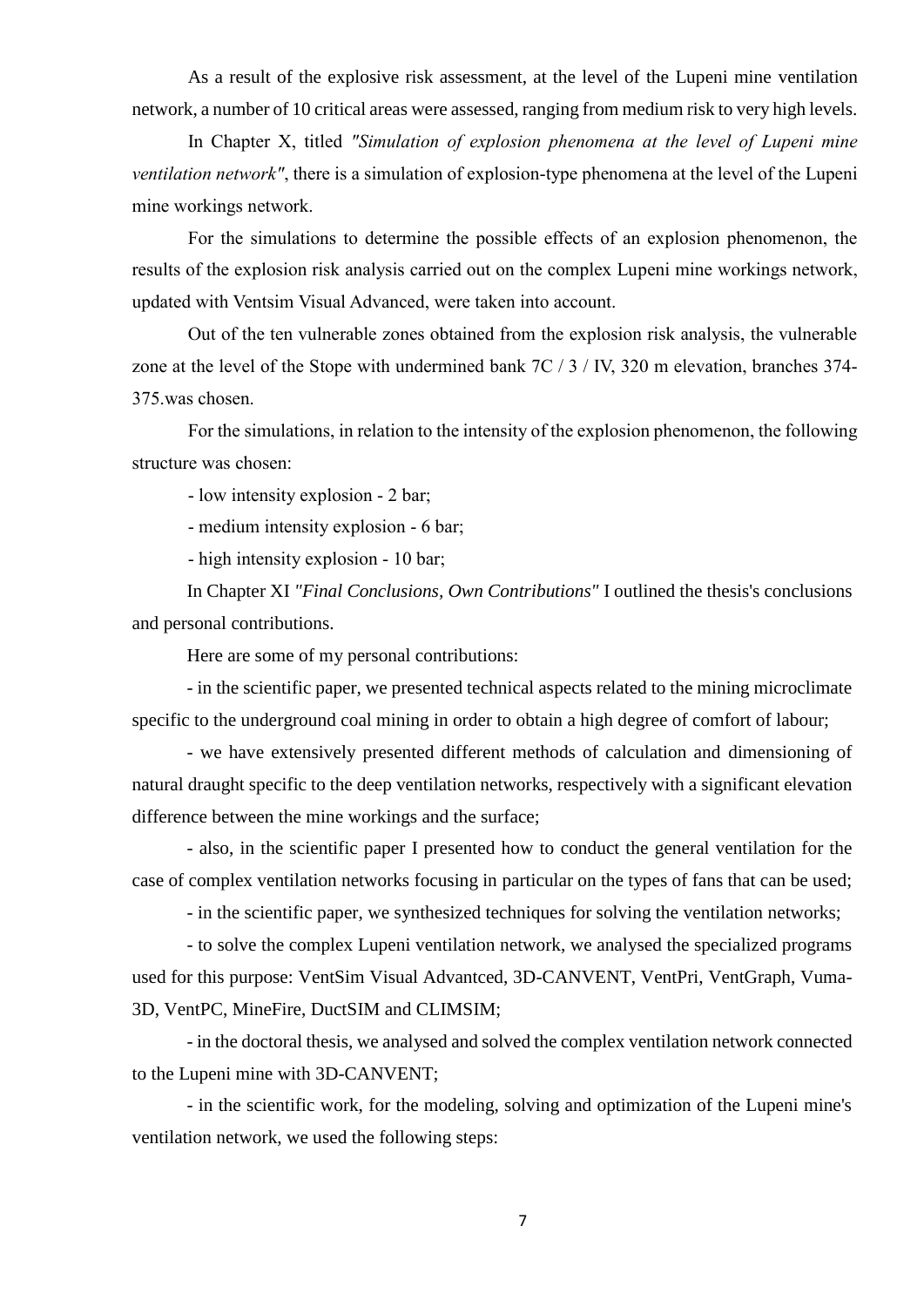As a result of the explosive risk assessment, at the level of the Lupeni mine ventilation network, a number of 10 critical areas were assessed, ranging from medium risk to very high levels.

In Chapter X, titled *"Simulation of explosion phenomena at the level of Lupeni mine ventilation network"*, there is a simulation of explosion-type phenomena at the level of the Lupeni mine workings network.

For the simulations to determine the possible effects of an explosion phenomenon, the results of the explosion risk analysis carried out on the complex Lupeni mine workings network, updated with Ventsim Visual Advanced, were taken into account.

Out of the ten vulnerable zones obtained from the explosion risk analysis, the vulnerable zone at the level of the Stope with undermined bank 7C / 3 / IV, 320 m elevation, branches 374- 375.was chosen.

For the simulations, in relation to the intensity of the explosion phenomenon, the following structure was chosen:

- low intensity explosion - 2 bar;

- medium intensity explosion - 6 bar;

- high intensity explosion - 10 bar;

In Chapter XI *"Final Conclusions, Own Contributions"* I outlined the thesis's conclusions and personal contributions.

Here are some of my personal contributions:

- in the scientific paper, we presented technical aspects related to the mining microclimate specific to the underground coal mining in order to obtain a high degree of comfort of labour;

- we have extensively presented different methods of calculation and dimensioning of natural draught specific to the deep ventilation networks, respectively with a significant elevation difference between the mine workings and the surface;

- also, in the scientific paper I presented how to conduct the general ventilation for the case of complex ventilation networks focusing in particular on the types of fans that can be used;

- in the scientific paper, we synthesized techniques for solving the ventilation networks;

- to solve the complex Lupeni ventilation network, we analysed the specialized programs used for this purpose: VentSim Visual Advantced, 3D-CANVENT, VentPri, VentGraph, Vuma-3D, VentPC, MineFire, DuctSIM and CLIMSIM;

- in the doctoral thesis, we analysed and solved the complex ventilation network connected to the Lupeni mine with 3D-CANVENT;

- in the scientific work, for the modeling, solving and optimization of the Lupeni mine's ventilation network, we used the following steps: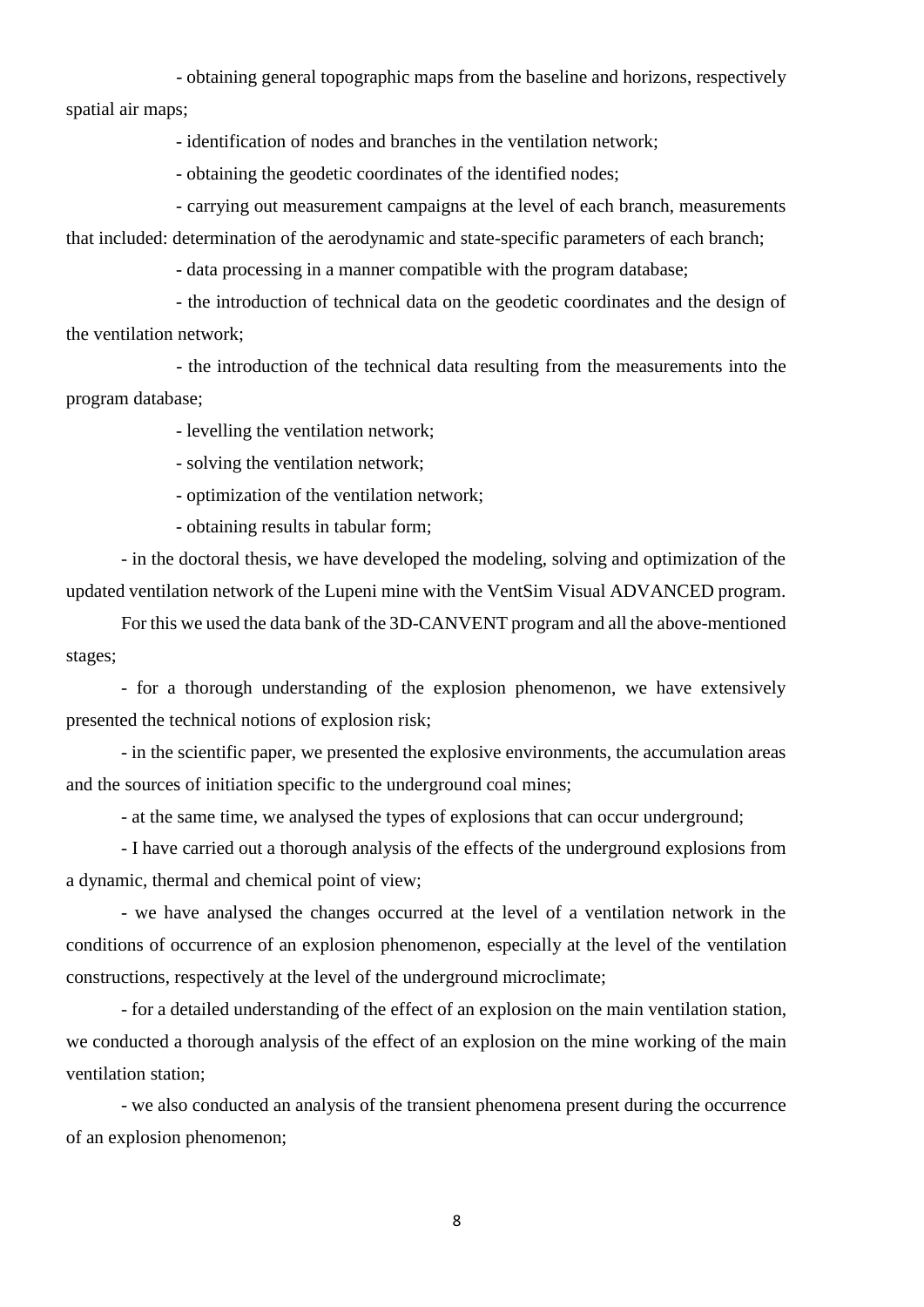- obtaining general topographic maps from the baseline and horizons, respectively spatial air maps;

- identification of nodes and branches in the ventilation network;

- obtaining the geodetic coordinates of the identified nodes;

- carrying out measurement campaigns at the level of each branch, measurements that included: determination of the aerodynamic and state-specific parameters of each branch;

- data processing in a manner compatible with the program database;

- the introduction of technical data on the geodetic coordinates and the design of the ventilation network;

- the introduction of the technical data resulting from the measurements into the program database;

- levelling the ventilation network;

- solving the ventilation network;

- optimization of the ventilation network;

- obtaining results in tabular form;

- in the doctoral thesis, we have developed the modeling, solving and optimization of the updated ventilation network of the Lupeni mine with the VentSim Visual ADVANCED program.

For this we used the data bank of the 3D-CANVENT program and all the above-mentioned stages;

- for a thorough understanding of the explosion phenomenon, we have extensively presented the technical notions of explosion risk;

- in the scientific paper, we presented the explosive environments, the accumulation areas and the sources of initiation specific to the underground coal mines;

- at the same time, we analysed the types of explosions that can occur underground;

- I have carried out a thorough analysis of the effects of the underground explosions from a dynamic, thermal and chemical point of view;

- we have analysed the changes occurred at the level of a ventilation network in the conditions of occurrence of an explosion phenomenon, especially at the level of the ventilation constructions, respectively at the level of the underground microclimate;

- for a detailed understanding of the effect of an explosion on the main ventilation station, we conducted a thorough analysis of the effect of an explosion on the mine working of the main ventilation station;

- we also conducted an analysis of the transient phenomena present during the occurrence of an explosion phenomenon;